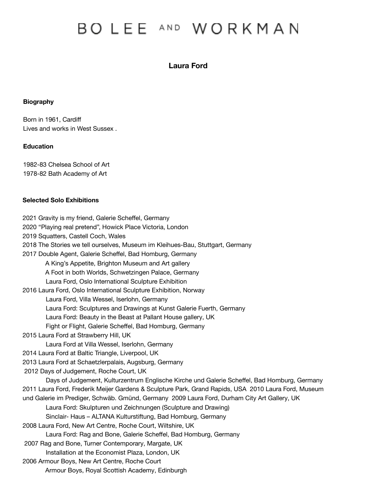# BOLEE AND WORKMAN

# **Laura Ford**

#### **Biography**

Born in 1961, Cardiff Lives and works in West Sussex .

#### **Education**

1982-83 Chelsea School of Art 1978-82 Bath Academy of Art

## **Selected Solo Exhibitions**

2021 Gravity is my friend, Galerie Scheffel, Germany 2020 "Playing real pretend", Howick Place Victoria, London 2019 Squatters, Castell Coch, Wales 2018 The Stories we tell ourselves, Museum im Kleihues-Bau, Stuttgart, Germany 2017 Double Agent, Galerie Scheffel, Bad Homburg, Germany A King's Appetite, Brighton Museum and Art gallery A Foot in both Worlds, Schwetzingen Palace, Germany Laura Ford, Oslo International Sculpture Exhibition 2016 Laura Ford, Oslo International Sculpture Exhibition, Norway Laura Ford, Villa Wessel, Iserlohn, Germany Laura Ford: Sculptures and Drawings at Kunst Galerie Fuerth, Germany Laura Ford: Beauty in the Beast at Pallant House gallery, UK Fight or Flight, Galerie Scheffel, Bad Homburg, Germany 2015 Laura Ford at Strawberry Hill, UK Laura Ford at Villa Wessel, Iserlohn, Germany 2014 Laura Ford at Baltic Triangle, Liverpool, UK 2013 Laura Ford at Schaetzlerpalais, Augsburg, Germany 2012 Days of Judgement, Roche Court, UK Days of Judgement, Kulturzentrum Englische Kirche und Galerie Scheffel, Bad Homburg, Germany 2011 Laura Ford, Frederik Meijer Gardens & Sculpture Park, Grand Rapids, USA 2010 Laura Ford, Museum und Galerie im Prediger, Schwäb. Gmünd, Germany 2009 Laura Ford, Durham City Art Gallery, UK Laura Ford: Skulpturen und Zeichnungen (Sculpture and Drawing) Sinclair- Haus – ALTANA Kulturstiftung, Bad Homburg, Germany 2008 Laura Ford, New Art Centre, Roche Court, Wiltshire, UK Laura Ford: Rag and Bone, Galerie Scheffel, Bad Homburg, Germany 2007 Rag and Bone, Turner Contemporary, Margate, UK Installation at the Economist Plaza, London, UK 2006 Armour Boys, New Art Centre, Roche Court Armour Boys, Royal Scottish Academy, Edinburgh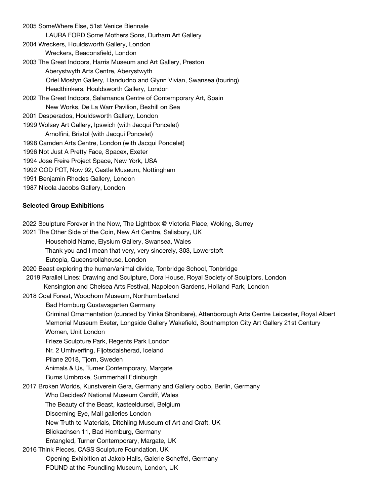SomeWhere Else, 51st Venice Biennale LAURA FORD Some Mothers Sons, Durham Art Gallery Wreckers, Houldsworth Gallery, London Wreckers, Beaconsfield, London The Great Indoors, Harris Museum and Art Gallery, Preston Aberystwyth Arts Centre, Aberystwyth Oriel Mostyn Gallery, Llandudno and Glynn Vivian, Swansea (touring) Headthinkers, Houldsworth Gallery, London The Great Indoors, Salamanca Centre of Contemporary Art, Spain New Works, De La Warr Pavilion, Bexhill on Sea Desperados, Houldsworth Gallery, London Wolsey Art Gallery, Ipswich (with Jacqui Poncelet) Arnolfini, Bristol (with Jacqui Poncelet) Camden Arts Centre, London (with Jacqui Poncelet) Not Just A Pretty Face, Spacex, Exeter Jose Freire Project Space, New York, USA GOD POT, Now 92, Castle Museum, Nottingham Benjamin Rhodes Gallery, London Nicola Jacobs Gallery, London

### **Selected Group Exhibitions**

2022 Sculpture Forever in the Now, The Lightbox @ Victoria Place, Woking, Surrey

2021 The Other Side of the Coin, New Art Centre, Salisbury, UK

Household Name, Elysium Gallery, Swansea, Wales

Thank you and I mean that very, very sincerely, 303, Lowerstoft

Eutopia, Queensrollahouse, London

2020 Beast exploring the human/animal divide, Tonbridge School, Tonbridge

2019 Parallel Lines: Drawing and Sculpture, Dora House, Royal Society of Sculptors, London Kensington and Chelsea Arts Festival, Napoleon Gardens, Holland Park, London

2018 Coal Forest, Woodhorn Museum, Northumberland

Bad Homburg Gustavsgarten Germany

Criminal Ornamentation (curated by Yinka Shonibare), Attenborough Arts Centre Leicester, Royal Albert Memorial Museum Exeter, Longside Gallery Wakefield, Southampton City Art Gallery 21st Century Women, Unit London

Frieze Sculpture Park, Regents Park London

Nr. 2 Umhverfing, Fljotsdalsherad, Iceland

Pilane 2018, Tjorn, Sweden

Animals & Us, Turner Contemporary, Margate

Burns Umbroke, Summerhall Edinburgh

2017 Broken Worlds, Kunstverein Gera, Germany and Gallery oqbo, Berlin, Germany

Who Decides? National Museum Cardiff, Wales

The Beauty of the Beast, kasteeldursel, Belgium

Discerning Eye, Mall galleries London

New Truth to Materials, Ditchling Museum of Art and Craft, UK

Blickachsen 11, Bad Homburg, Germany

Entangled, Turner Contemporary, Margate, UK

## 2016 Think Pieces, CASS Sculpture Foundation, UK Opening Exhibition at Jakob Halls, Galerie Scheffel, Germany FOUND at the Foundling Museum, London, UK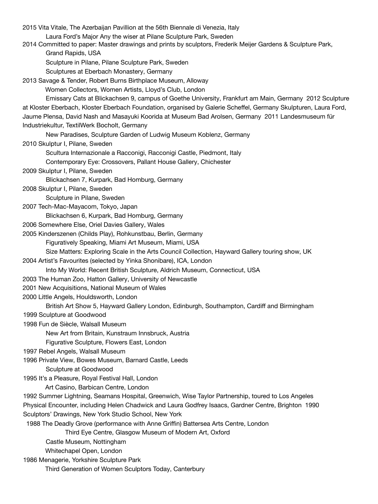2015 Vita Vitale, The Azerbaijan Pavillion at the 56th Biennale di Venezia, Italy

Laura Ford's Major Any the wiser at Pilane Sculpture Park, Sweden

2014 Committed to paper: Master drawings and prints by sculptors, Frederik Meijer Gardens & Sculpture Park, Grand Rapids, USA

Sculpture in Pilane, Pilane Sculpture Park, Sweden

Sculptures at Eberbach Monastery, Germany

2013 Savage & Tender, Robert Burns Birthplace Museum, Alloway

Women Collectors, Women Artists, Lloyd's Club, London

Emissary Cats at Blickachsen 9, campus of Goethe University, Frankfurt am Main, Germany 2012 Sculpture at Kloster Eberbach, Kloster Eberbach Foundation, organised by Galerie Scheffel, Germany Skulpturen, Laura Ford, Jaume Plensa, David Nash and Masayuki Koorida at Museum Bad Arolsen, Germany 2011 Landesmuseum für Industriekultur, TextilWerk Bocholt, Germany

New Paradises, Sculpture Garden of Ludwig Museum Koblenz, Germany

2010 Skulptur I, Pilane, Sweden

Scultura Internazionale a Racconigi, Racconigi Castle, Piedmont, Italy

Contemporary Eye: Crossovers, Pallant House Gallery, Chichester

2009 Skulptur I, Pilane, Sweden

Blickachsen 7, Kurpark, Bad Homburg, Germany

2008 Skulptur I, Pilane, Sweden

Sculpture in Pilane, Sweden

2007 Tech-Mac-Mayacom, Tokyo, Japan

Blickachsen 6, Kurpark, Bad Homburg, Germany

2006 Somewhere Else, Oriel Davies Gallery, Wales

2005 Kinderszenen (Childs Play), Rohkunstbau, Berlin, Germany

Figuratively Speaking, Miami Art Museum, Miami, USA

Size Matters: Exploring Scale in the Arts Council Collection, Hayward Gallery touring show, UK

2004 Artist's Favourites (selected by Yinka Shonibare), ICA, London

Into My World: Recent British Sculpture, Aldrich Museum, Connecticut, USA

2003 The Human Zoo, Hatton Gallery, University of Newcastle

2001 New Acquisitions, National Museum of Wales

2000 Little Angels, Houldsworth, London

British Art Show 5, Hayward Gallery London, Edinburgh, Southampton, Cardiff and Birmingham

1999 Sculpture at Goodwood

1998 Fun de Siècle, Walsall Museum

New Art from Britain, Kunstraum Innsbruck, Austria

Figurative Sculpture, Flowers East, London

1997 Rebel Angels, Walsall Museum

1996 Private View, Bowes Museum, Barnard Castle, Leeds

Sculpture at Goodwood

1995 It's a Pleasure, Royal Festival Hall, London

Art Casino, Barbican Centre, London

1992 Summer Lightning, Seamans Hospital, Greenwich, Wise Taylor Partnership, toured to Los Angeles Physical Encounter, including Helen Chadwick and Laura Godfrey Isaacs, Gardner Centre, Brighton 1990 Sculptors' Drawings, New York Studio School, New York

1988 The Deadly Grove (performance with Anne Griffin) Battersea Arts Centre, London

Third Eye Centre, Glasgow Museum of Modern Art, Oxford

Castle Museum, Nottingham

Whitechapel Open, London

1986 Menagerie, Yorkshire Sculpture Park

Third Generation of Women Sculptors Today, Canterbury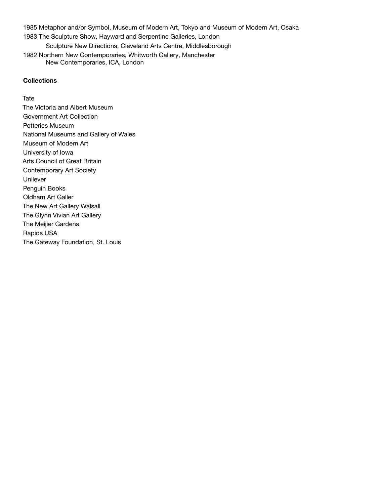1985 Metaphor and/or Symbol, Museum of Modern Art, Tokyo and Museum of Modern Art, Osaka 1983 The Sculpture Show, Hayward and Serpentine Galleries, London Sculpture New Directions, Cleveland Arts Centre, Middlesborough 1982 Northern New Contemporaries, Whitworth Gallery, Manchester New Contemporaries, ICA, London

## **Collections**

Tate

The Victoria and Albert Museum Government Art Collection Potteries Museum National Museums and Gallery of Wales Museum of Modern Art University of Iowa Arts Council of Great Britain Contemporary Art Society Unilever Penguin Books Oldham Art Galler The New Art Gallery Walsall The Glynn Vivian Art Gallery The Meijier Gardens Rapids USA The Gateway Foundation, St. Louis